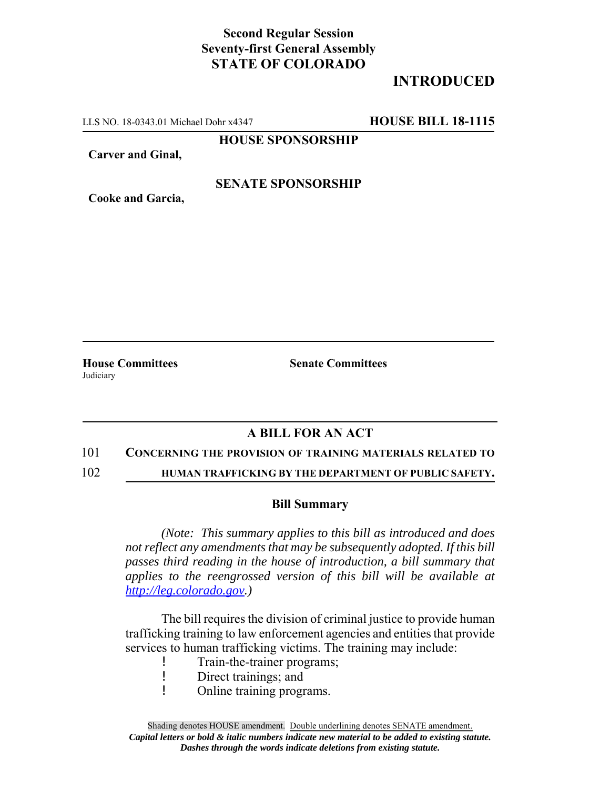# **Second Regular Session Seventy-first General Assembly STATE OF COLORADO**

# **INTRODUCED**

LLS NO. 18-0343.01 Michael Dohr x4347 **HOUSE BILL 18-1115**

**HOUSE SPONSORSHIP**

**Carver and Ginal,**

## **SENATE SPONSORSHIP**

**Cooke and Garcia,**

Judiciary

**House Committees Senate Committees**

## **A BILL FOR AN ACT**

#### 101 **CONCERNING THE PROVISION OF TRAINING MATERIALS RELATED TO**

102 **HUMAN TRAFFICKING BY THE DEPARTMENT OF PUBLIC SAFETY.**

### **Bill Summary**

*(Note: This summary applies to this bill as introduced and does not reflect any amendments that may be subsequently adopted. If this bill passes third reading in the house of introduction, a bill summary that applies to the reengrossed version of this bill will be available at http://leg.colorado.gov.)*

The bill requires the division of criminal justice to provide human trafficking training to law enforcement agencies and entities that provide services to human trafficking victims. The training may include:

- Train-the-trainer programs;
- ! Direct trainings; and
- ! Online training programs.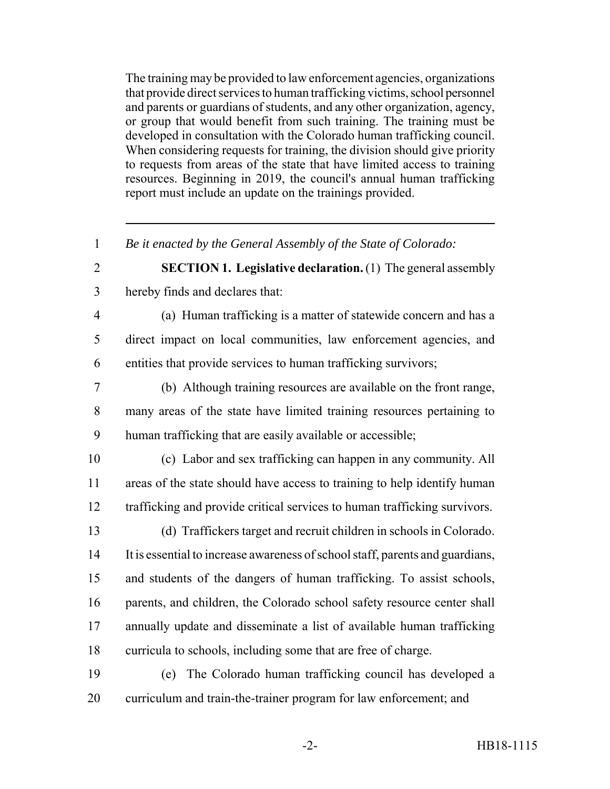The training may be provided to law enforcement agencies, organizations that provide direct services to human trafficking victims, school personnel and parents or guardians of students, and any other organization, agency, or group that would benefit from such training. The training must be developed in consultation with the Colorado human trafficking council. When considering requests for training, the division should give priority to requests from areas of the state that have limited access to training resources. Beginning in 2019, the council's annual human trafficking report must include an update on the trainings provided.

*Be it enacted by the General Assembly of the State of Colorado:*

 **SECTION 1. Legislative declaration.** (1) The general assembly hereby finds and declares that:

 (a) Human trafficking is a matter of statewide concern and has a direct impact on local communities, law enforcement agencies, and entities that provide services to human trafficking survivors;

 (b) Although training resources are available on the front range, many areas of the state have limited training resources pertaining to human trafficking that are easily available or accessible;

 (c) Labor and sex trafficking can happen in any community. All areas of the state should have access to training to help identify human trafficking and provide critical services to human trafficking survivors.

 (d) Traffickers target and recruit children in schools in Colorado. It is essential to increase awareness of school staff, parents and guardians, and students of the dangers of human trafficking. To assist schools, 16 parents, and children, the Colorado school safety resource center shall annually update and disseminate a list of available human trafficking curricula to schools, including some that are free of charge.

 (e) The Colorado human trafficking council has developed a curriculum and train-the-trainer program for law enforcement; and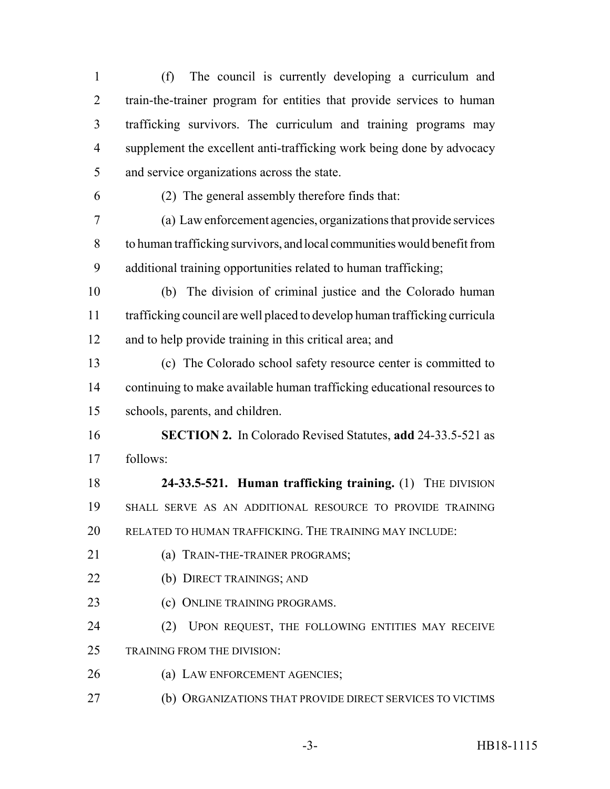(f) The council is currently developing a curriculum and train-the-trainer program for entities that provide services to human trafficking survivors. The curriculum and training programs may supplement the excellent anti-trafficking work being done by advocacy and service organizations across the state.

(2) The general assembly therefore finds that:

 (a) Law enforcement agencies, organizations that provide services to human trafficking survivors, and local communities would benefit from additional training opportunities related to human trafficking;

 (b) The division of criminal justice and the Colorado human trafficking council are well placed to develop human trafficking curricula and to help provide training in this critical area; and

 (c) The Colorado school safety resource center is committed to continuing to make available human trafficking educational resources to schools, parents, and children.

 **SECTION 2.** In Colorado Revised Statutes, **add** 24-33.5-521 as follows:

 **24-33.5-521. Human trafficking training.** (1) THE DIVISION SHALL SERVE AS AN ADDITIONAL RESOURCE TO PROVIDE TRAINING RELATED TO HUMAN TRAFFICKING. THE TRAINING MAY INCLUDE:

- (a) TRAIN-THE-TRAINER PROGRAMS;
- (b) DIRECT TRAININGS; AND
- 23 (c) ONLINE TRAINING PROGRAMS.

 (2) UPON REQUEST, THE FOLLOWING ENTITIES MAY RECEIVE TRAINING FROM THE DIVISION:

- (a) LAW ENFORCEMENT AGENCIES;
- (b) ORGANIZATIONS THAT PROVIDE DIRECT SERVICES TO VICTIMS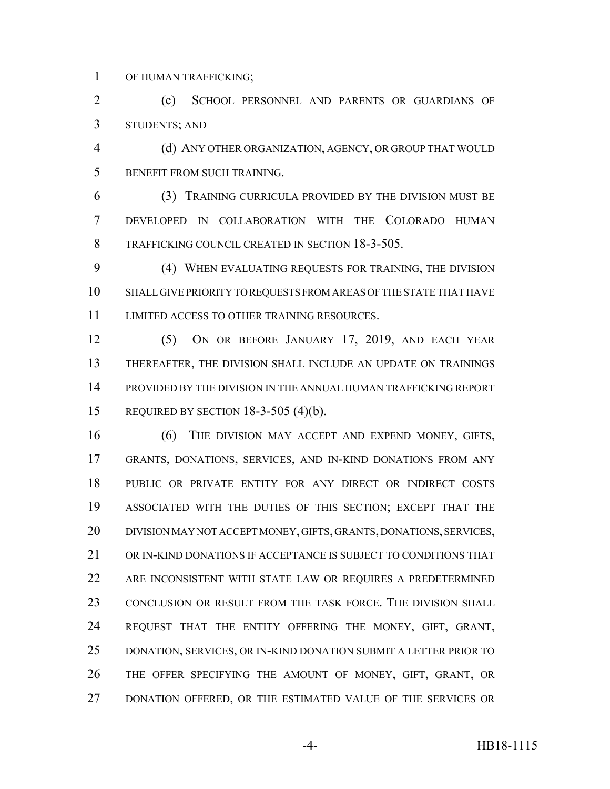OF HUMAN TRAFFICKING;

 (c) SCHOOL PERSONNEL AND PARENTS OR GUARDIANS OF STUDENTS; AND

 (d) ANY OTHER ORGANIZATION, AGENCY, OR GROUP THAT WOULD BENEFIT FROM SUCH TRAINING.

 (3) TRAINING CURRICULA PROVIDED BY THE DIVISION MUST BE DEVELOPED IN COLLABORATION WITH THE COLORADO HUMAN TRAFFICKING COUNCIL CREATED IN SECTION 18-3-505.

 (4) WHEN EVALUATING REQUESTS FOR TRAINING, THE DIVISION SHALL GIVE PRIORITY TO REQUESTS FROM AREAS OF THE STATE THAT HAVE LIMITED ACCESS TO OTHER TRAINING RESOURCES.

 (5) ON OR BEFORE JANUARY 17, 2019, AND EACH YEAR THEREAFTER, THE DIVISION SHALL INCLUDE AN UPDATE ON TRAININGS PROVIDED BY THE DIVISION IN THE ANNUAL HUMAN TRAFFICKING REPORT REQUIRED BY SECTION 18-3-505 (4)(b).

 (6) THE DIVISION MAY ACCEPT AND EXPEND MONEY, GIFTS, GRANTS, DONATIONS, SERVICES, AND IN-KIND DONATIONS FROM ANY PUBLIC OR PRIVATE ENTITY FOR ANY DIRECT OR INDIRECT COSTS ASSOCIATED WITH THE DUTIES OF THIS SECTION; EXCEPT THAT THE DIVISION MAY NOT ACCEPT MONEY, GIFTS, GRANTS, DONATIONS, SERVICES, OR IN-KIND DONATIONS IF ACCEPTANCE IS SUBJECT TO CONDITIONS THAT ARE INCONSISTENT WITH STATE LAW OR REQUIRES A PREDETERMINED 23 CONCLUSION OR RESULT FROM THE TASK FORCE. THE DIVISION SHALL REQUEST THAT THE ENTITY OFFERING THE MONEY, GIFT, GRANT, DONATION, SERVICES, OR IN-KIND DONATION SUBMIT A LETTER PRIOR TO THE OFFER SPECIFYING THE AMOUNT OF MONEY, GIFT, GRANT, OR DONATION OFFERED, OR THE ESTIMATED VALUE OF THE SERVICES OR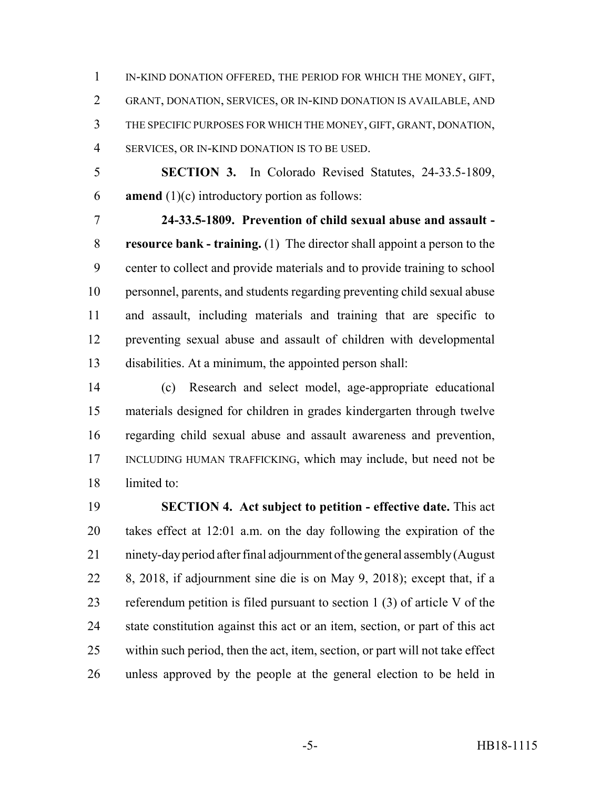IN-KIND DONATION OFFERED, THE PERIOD FOR WHICH THE MONEY, GIFT, GRANT, DONATION, SERVICES, OR IN-KIND DONATION IS AVAILABLE, AND THE SPECIFIC PURPOSES FOR WHICH THE MONEY, GIFT, GRANT, DONATION, SERVICES, OR IN-KIND DONATION IS TO BE USED.

 **SECTION 3.** In Colorado Revised Statutes, 24-33.5-1809, **amend** (1)(c) introductory portion as follows:

 **24-33.5-1809. Prevention of child sexual abuse and assault - resource bank - training.** (1) The director shall appoint a person to the center to collect and provide materials and to provide training to school personnel, parents, and students regarding preventing child sexual abuse and assault, including materials and training that are specific to preventing sexual abuse and assault of children with developmental disabilities. At a minimum, the appointed person shall:

 (c) Research and select model, age-appropriate educational materials designed for children in grades kindergarten through twelve regarding child sexual abuse and assault awareness and prevention, INCLUDING HUMAN TRAFFICKING, which may include, but need not be limited to:

 **SECTION 4. Act subject to petition - effective date.** This act takes effect at 12:01 a.m. on the day following the expiration of the ninety-day period after final adjournment of the general assembly (August 8, 2018, if adjournment sine die is on May 9, 2018); except that, if a referendum petition is filed pursuant to section 1 (3) of article V of the state constitution against this act or an item, section, or part of this act within such period, then the act, item, section, or part will not take effect unless approved by the people at the general election to be held in